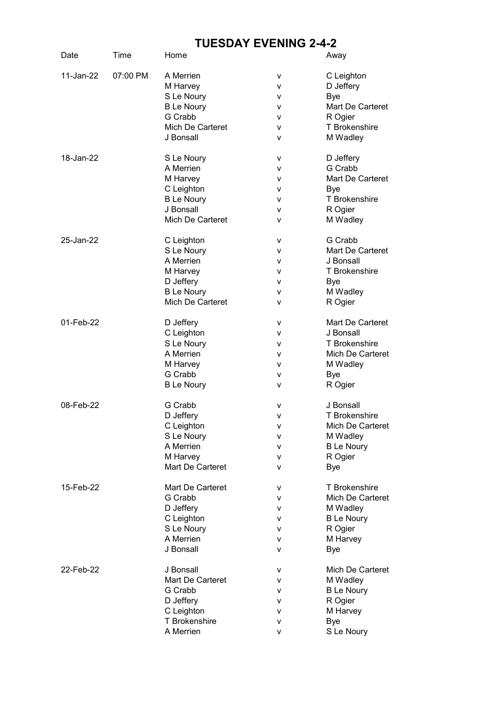## TUESDAY EVENING 2-4-2

| Date      | Time     | Home              |   | Away                 |
|-----------|----------|-------------------|---|----------------------|
| 11-Jan-22 | 07:00 PM | A Merrien         | v | C Leighton           |
|           |          | M Harvey          | ۷ | D Jeffery            |
|           |          | S Le Noury        | ۷ | <b>Bye</b>           |
|           |          | <b>B</b> Le Noury | ۷ | Mart De Carteret     |
|           |          | G Crabb           | ۷ | R Ogier              |
|           |          | Mich De Carteret  | ۷ | T Brokenshire        |
|           |          | J Bonsall         | v | M Wadley             |
| 18-Jan-22 |          | S Le Noury        | ۷ | D Jeffery            |
|           |          | A Merrien         | ۷ | G Crabb              |
|           |          | M Harvey          | ۷ | Mart De Carteret     |
|           |          | C Leighton        | ۷ | Bye                  |
|           |          | <b>B</b> Le Noury | ۷ | <b>T</b> Brokenshire |
|           |          | J Bonsall         | ۷ | R Ogier              |
|           |          | Mich De Carteret  | v | M Wadley             |
| 25-Jan-22 |          | C Leighton        | ۷ | G Crabb              |
|           |          | S Le Noury        | ۷ | Mart De Carteret     |
|           |          | A Merrien         | v | J Bonsall            |
|           |          | M Harvey          | v | T Brokenshire        |
|           |          | D Jeffery         | v | Bye                  |
|           |          | <b>B</b> Le Noury | v | M Wadley             |
|           |          | Mich De Carteret  | v | R Ogier              |
| 01-Feb-22 |          | D Jeffery         | ۷ | Mart De Carteret     |
|           |          | C Leighton        | ۷ | J Bonsall            |
|           |          | S Le Noury        | ۷ | T Brokenshire        |
|           |          | A Merrien         | ۷ | Mich De Carteret     |
|           |          | M Harvey          | ۷ | M Wadley             |
|           |          | G Crabb           | ۷ | <b>Bye</b>           |
|           |          | <b>B</b> Le Noury | v | R Ogier              |
| 08-Feb-22 |          | G Crabb           | v | J Bonsall            |
|           |          | D Jeffery         | v | <b>T</b> Brokenshire |
|           |          | C Leighton        | ۷ | Mich De Carteret     |
|           |          | S Le Noury        | v | M Wadley             |
|           |          | A Merrien         | v | <b>B Le Noury</b>    |
|           |          | M Harvey          | v | R Ogier              |
|           |          | Mart De Carteret  | v | <b>Bye</b>           |
| 15-Feb-22 |          | Mart De Carteret  | ۷ | T Brokenshire        |
|           |          | G Crabb           | ۷ | Mich De Carteret     |
|           |          | D Jeffery         | v | M Wadley             |
|           |          | C Leighton        | ۷ | <b>B</b> Le Noury    |
|           |          | S Le Noury        | ۷ | R Ogier              |
|           |          | A Merrien         | ۷ | M Harvey             |
|           |          | J Bonsall         | v | <b>Bye</b>           |
| 22-Feb-22 |          | J Bonsall         | ۷ | Mich De Carteret     |
|           |          | Mart De Carteret  | ۷ | M Wadley             |
|           |          | G Crabb           | ۷ | <b>B Le Noury</b>    |
|           |          | D Jeffery         | ۷ | R Ogier              |
|           |          | C Leighton        | v | M Harvey             |
|           |          | T Brokenshire     | v | <b>Bye</b>           |
|           |          | A Merrien         | v | S Le Noury           |